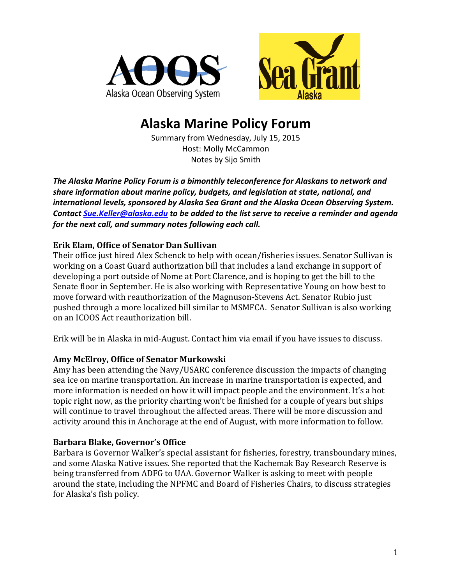



# **Alaska Marine Policy Forum**

Summary from Wednesday, July 15, 2015 Host: Molly McCammon Notes by Sijo Smith

The Alaska Marine Policy Forum is a bimonthly teleconference for Alaskans to network and share information about marine policy, budgets, and legislation at state, national, and international levels, sponsored by Alaska Sea Grant and the Alaska Ocean Observing System. *Contact Sue.Keller@alaska.edu to be added to the list serve to receive a reminder and agenda for the next call, and summary notes following each call.* 

## **Erik Elam, Office of Senator Dan Sullivan**

Their office just hired Alex Schenck to help with ocean/fisheries issues. Senator Sullivan is working on a Coast Guard authorization bill that includes a land exchange in support of developing a port outside of Nome at Port Clarence, and is hoping to get the bill to the Senate floor in September. He is also working with Representative Young on how best to move forward with reauthorization of the Magnuson-Stevens Act. Senator Rubio just pushed through a more localized bill similar to MSMFCA. Senator Sullivan is also working on an ICOOS Act reauthorization bill.

Erik will be in Alaska in mid-August. Contact him via email if you have issues to discuss.

# **Amy McElroy, Office of Senator Murkowski**

Amy has been attending the Navy/USARC conference discussion the impacts of changing sea ice on marine transportation. An increase in marine transportation is expected, and more information is needed on how it will impact people and the environment. It's a hot topic right now, as the priority charting won't be finished for a couple of years but ships will continue to travel throughout the affected areas. There will be more discussion and activity around this in Anchorage at the end of August, with more information to follow.

# **Barbara Blake, Governor's Office**

Barbara is Governor Walker's special assistant for fisheries, forestry, transboundary mines, and some Alaska Native issues. She reported that the Kachemak Bay Research Reserve is being transferred from ADFG to UAA. Governor Walker is asking to meet with people around the state, including the NPFMC and Board of Fisheries Chairs, to discuss strategies for Alaska's fish policy.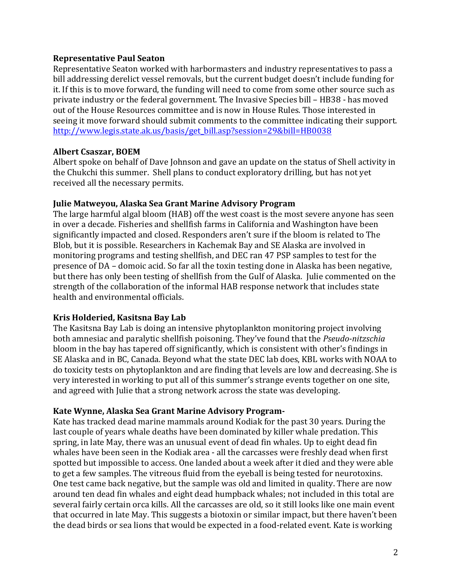#### **Representative Paul Seaton**

Representative Seaton worked with harbormasters and industry representatives to pass a bill addressing derelict vessel removals, but the current budget doesn't include funding for it. If this is to move forward, the funding will need to come from some other source such as private industry or the federal government. The Invasive Species bill – HB38 - has moved out of the House Resources committee and is now in House Rules. Those interested in seeing it move forward should submit comments to the committee indicating their support. http://www.legis.state.ak.us/basis/get\_bill.asp?session=29&bill=HB0038

#### **Albert Csaszar, BOEM**

Albert spoke on behalf of Dave Johnson and gave an update on the status of Shell activity in the Chukchi this summer. Shell plans to conduct exploratory drilling, but has not yet received all the necessary permits.

#### **Julie Matweyou, Alaska Sea Grant Marine Advisory Program**

The large harmful algal bloom (HAB) off the west coast is the most severe anyone has seen in over a decade. Fisheries and shellfish farms in California and Washington have been significantly impacted and closed. Responders aren't sure if the bloom is related to The Blob, but it is possible. Researchers in Kachemak Bay and SE Alaska are involved in monitoring programs and testing shellfish, and DEC ran 47 PSP samples to test for the presence of DA – domoic acid. So far all the toxin testing done in Alaska has been negative, but there has only been testing of shellfish from the Gulf of Alaska. Julie commented on the strength of the collaboration of the informal HAB response network that includes state health and environmental officials.

# **Kris Holderied, Kasitsna Bay Lab**

The Kasitsna Bay Lab is doing an intensive phytoplankton monitoring project involving both amnesiac and paralytic shellfish poisoning. They've found that the *Pseudo-nitzschia* bloom in the bay has tapered off significantly, which is consistent with other's findings in SE Alaska and in BC, Canada. Beyond what the state DEC lab does, KBL works with NOAA to do toxicity tests on phytoplankton and are finding that levels are low and decreasing. She is very interested in working to put all of this summer's strange events together on one site, and agreed with Julie that a strong network across the state was developing.

# Kate Wynne, Alaska Sea Grant Marine Advisory Program-

Kate has tracked dead marine mammals around Kodiak for the past 30 years. During the last couple of years whale deaths have been dominated by killer whale predation. This spring, in late May, there was an unusual event of dead fin whales. Up to eight dead fin whales have been seen in the Kodiak area - all the carcasses were freshly dead when first spotted but impossible to access. One landed about a week after it died and they were able to get a few samples. The vitreous fluid from the eyeball is being tested for neurotoxins. One test came back negative, but the sample was old and limited in quality. There are now around ten dead fin whales and eight dead humpback whales; not included in this total are several fairly certain orca kills. All the carcasses are old, so it still looks like one main event that occurred in late May. This suggests a biotoxin or similar impact, but there haven't been the dead birds or sea lions that would be expected in a food-related event. Kate is working